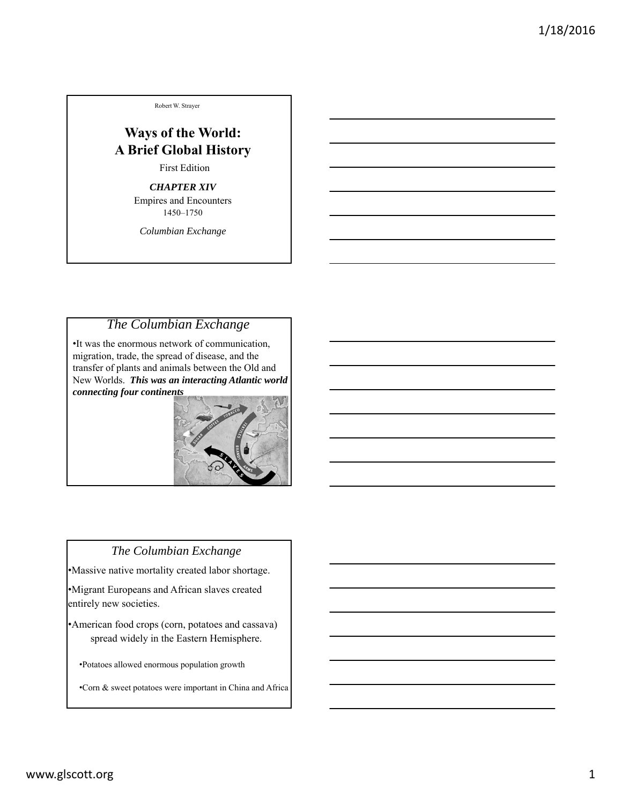Robert W. Strayer

# **Ways of the World: A Brief Global History**

First Edition

#### *CHAPTER XIV*

Empires and Encounters 1450–1750

*Columbian Exchange*

## *The Columbian Exchange*

•It was the enormous network of communication, migration, trade, the spread of disease, and the transfer of plants and animals between the Old and New Worlds. *This was an interacting Atlantic world connecting four continents*



#### *The Columbian Exchange*

•Massive native mortality created labor shortage.

•Migrant Europeans and African slaves created entirely new societies.

•American food crops (corn, potatoes and cassava) spread widely in the Eastern Hemisphere.

•Potatoes allowed enormous population growth

•Corn & sweet potatoes were important in China and Africa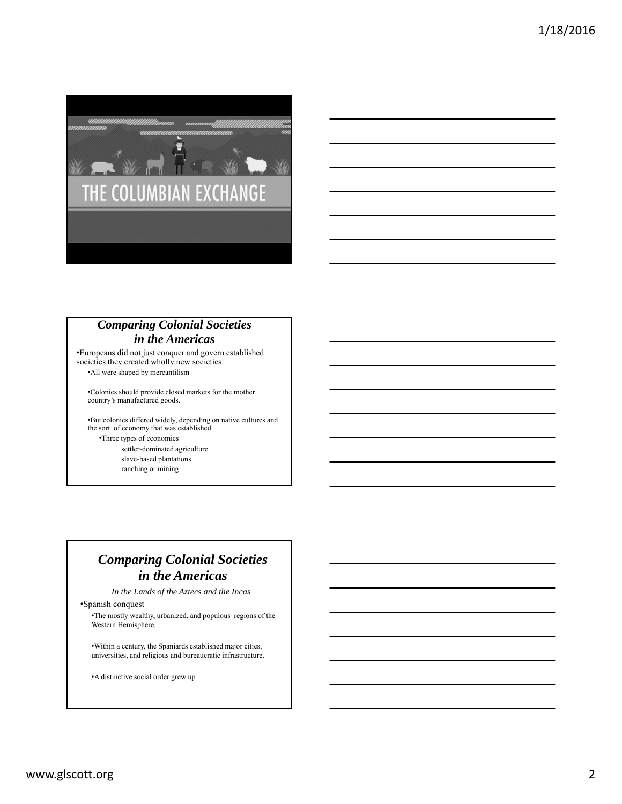

### *Comparing Colonial Societies in the Americas*

•Europeans did not just conquer and govern established societies they created wholly new societies.

•All were shaped by mercantilism

•Colonies should provide closed markets for the mother country's manufactured goods.

•But colonies differed widely, depending on native cultures and the sort of economy that was established •Three types of economies settler-dominated agriculture

slave-based plantations ranching or mining

## *Comparing Colonial Societies in the Americas*

*In the Lands of the Aztecs and the Incas*

•Spanish conquest

•The mostly wealthy, urbanized, and populous regions of the Western Hemisphere.

•Within a century, the Spaniards established major cities, universities, and religious and bureaucratic infrastructure.

•A distinctive social order grew up